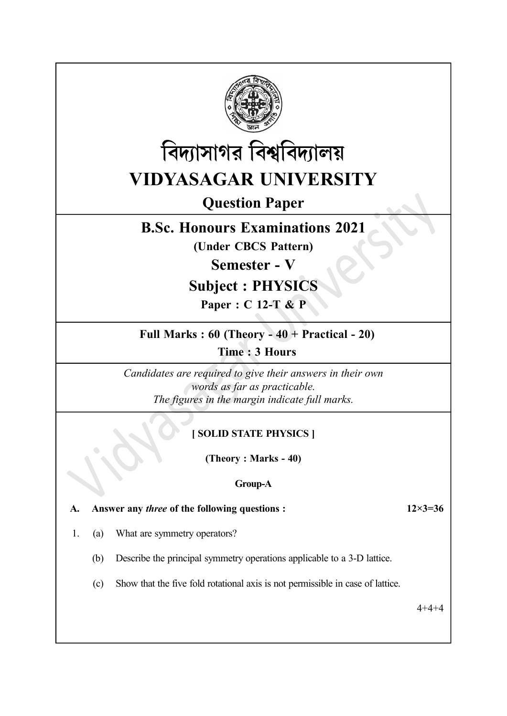



# Question Paper

# B.Sc. Honours Examinations 2021

(Under CBCS Pattern)

Semester - V

# Subject : PHYSICS

Paper : C 12-T & P

### Full Marks : 60 (Theory - 40 + Practical - 20)

Time : 3 Hours

Candidates are required to give their answers in their own words as far as practicable. The figures in the margin indicate full marks.

### [ SOLID STATE PHYSICS ]

(Theory : Marks - 40)

### Group-A

A. Answer any *three* of the following questions :  $12 \times 3 = 36$ 

- 1. (a) What are symmetry operators?
	- (b) Describe the principal symmetry operations applicable to a 3-D lattice.
	- (c) Show that the five fold rotational axis is not permissible in case of lattice.

4+4+4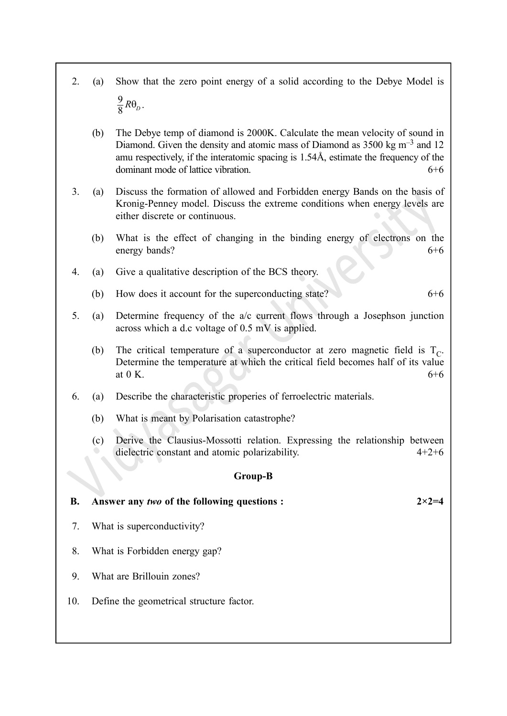- 2. (a) Show that the zero point energy of a solid according to the Debye Model is  $\frac{9}{8}R\theta_D$ 
	- $\frac{3}{8}R\theta_D$ .
	- (b) The Debye temp of diamond is 2000K. Calculate the mean velocity of sound in Diamond. Given the density and atomic mass of Diamond as  $3500 \text{ kg m}^{-3}$  and 12 amu respectively, if the interatomic spacing is 1.54Å, estimate the frequency of the dominant mode of lattice vibration.  $6+6$
- 3. (a) Discuss the formation of allowed and Forbidden energy Bands on the basis of Kronig-Penney model. Discuss the extreme conditions when energy levels are either discrete or continuous.
	- (b) What is the effect of changing in the binding energy of electrons on the energy bands? 6+6
- 4. (a) Give a qualitative description of the BCS theory.
	- (b) How does it account for the superconducting state?  $6+6$
- 5. (a) Determine frequency of the a/c current flows through a Josephson junction across which a d.c voltage of 0.5 mV is applied.
	- (b) The critical temperature of a superconductor at zero magnetic field is  $T_c$ . Determine the temperature at which the critical field becomes half of its value at 0 K.  $6+6$
- 6. (a) Describe the characteristic properies of ferroelectric materials.
	- (b) What is meant by Polarisation catastrophe?
	- (c) Derive the Clausius-Mossotti relation. Expressing the relationship between dielectric constant and atomic polarizability.  $4+2+6$

#### Group-B

#### B. Answer any two of the following questions :  $2 \times 2 = 4$

- 7. What is superconductivity?
- 8. What is Forbidden energy gap?
- 9. What are Brillouin zones?
- 10. Define the geometrical structure factor.